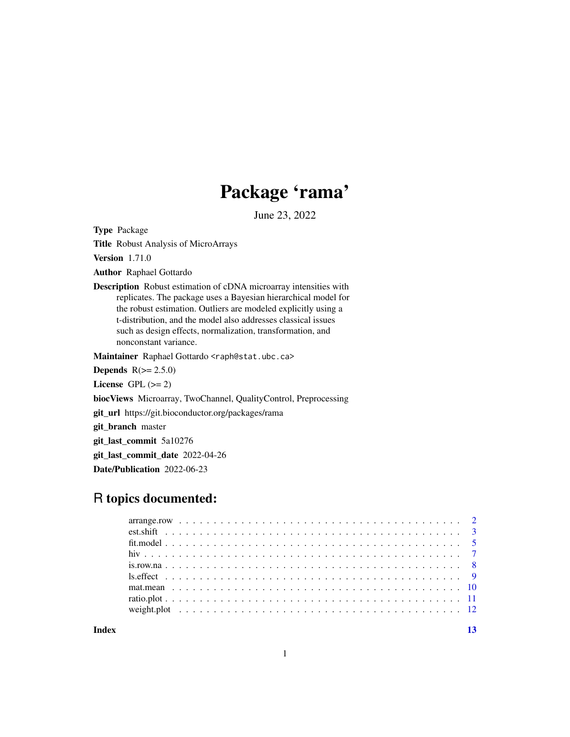# Package 'rama'

June 23, 2022

<span id="page-0-0"></span>Type Package

Title Robust Analysis of MicroArrays

Version 1.71.0

Author Raphael Gottardo

Description Robust estimation of cDNA microarray intensities with replicates. The package uses a Bayesian hierarchical model for the robust estimation. Outliers are modeled explicitly using a t-distribution, and the model also addresses classical issues such as design effects, normalization, transformation, and nonconstant variance.

Maintainer Raphael Gottardo <raph@stat.ubc.ca>

Depends  $R(>= 2.5.0)$ 

License GPL  $(>= 2)$ 

biocViews Microarray, TwoChannel, QualityControl, Preprocessing

git\_url https://git.bioconductor.org/packages/rama

git\_branch master

git\_last\_commit 5a10276

git\_last\_commit\_date 2022-04-26

Date/Publication 2022-06-23

## R topics documented:

**Index** [13](#page-12-0)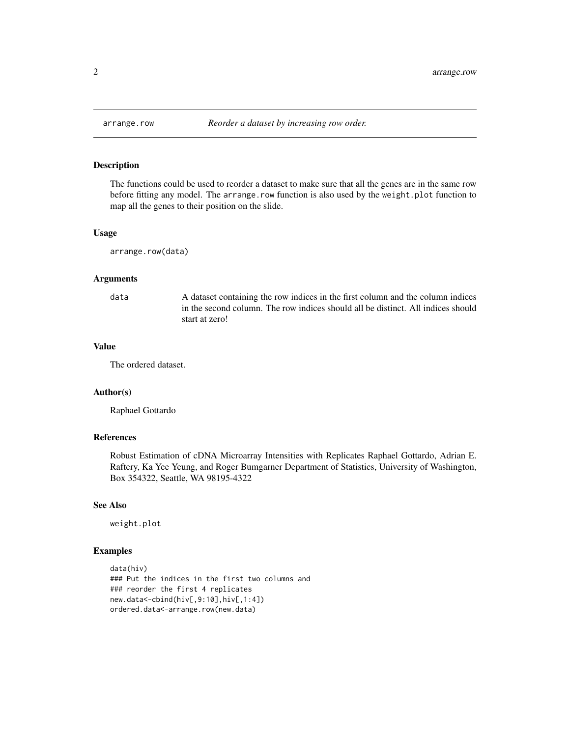<span id="page-1-0"></span>

The functions could be used to reorder a dataset to make sure that all the genes are in the same row before fitting any model. The arrange.row function is also used by the weight.plot function to map all the genes to their position on the slide.

#### Usage

arrange.row(data)

#### Arguments

data A dataset containing the row indices in the first column and the column indices in the second column. The row indices should all be distinct. All indices should start at zero!

#### Value

The ordered dataset.

#### Author(s)

Raphael Gottardo

#### References

Robust Estimation of cDNA Microarray Intensities with Replicates Raphael Gottardo, Adrian E. Raftery, Ka Yee Yeung, and Roger Bumgarner Department of Statistics, University of Washington, Box 354322, Seattle, WA 98195-4322

#### See Also

weight.plot

```
data(hiv)
### Put the indices in the first two columns and
### reorder the first 4 replicates
new.data<-cbind(hiv[,9:10],hiv[,1:4])
ordered.data<-arrange.row(new.data)
```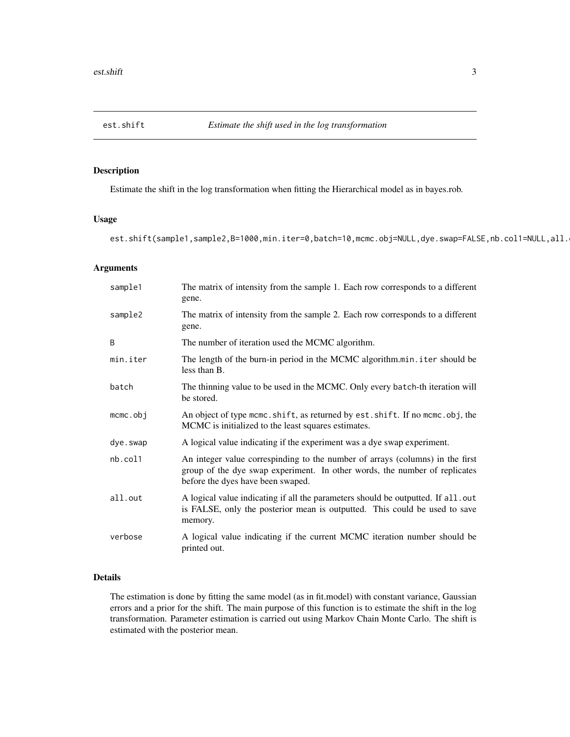<span id="page-2-0"></span>

Estimate the shift in the log transformation when fitting the Hierarchical model as in bayes.rob.

#### Usage

est.shift(sample1,sample2,B=1000,min.iter=0,batch=10,mcmc.obj=NULL,dye.swap=FALSE,nb.col1=NULL,all.

#### Arguments

| sample1     | The matrix of intensity from the sample 1. Each row corresponds to a different<br>gene.                                                                                                          |
|-------------|--------------------------------------------------------------------------------------------------------------------------------------------------------------------------------------------------|
| sample2     | The matrix of intensity from the sample 2. Each row corresponds to a different<br>gene.                                                                                                          |
| B           | The number of iteration used the MCMC algorithm.                                                                                                                                                 |
| min.iter    | The length of the burn-in period in the MCMC algorithm.min.iter should be<br>less than B.                                                                                                        |
| batch       | The thinning value to be used in the MCMC. Only every batch-th iteration will<br>be stored.                                                                                                      |
| $m$ cmc.obj | An object of type meme. shift, as returned by est. shift. If no meme. obj, the<br>MCMC is initialized to the least squares estimates.                                                            |
| dye.swap    | A logical value indicating if the experiment was a dye swap experiment.                                                                                                                          |
| nb.col1     | An integer value correspinding to the number of arrays (columns) in the first<br>group of the dye swap experiment. In other words, the number of replicates<br>before the dyes have been swaped. |
| all.out     | A logical value indicating if all the parameters should be outputted. If all.out<br>is FALSE, only the posterior mean is outputted. This could be used to save<br>memory.                        |
| verbose     | A logical value indicating if the current MCMC iteration number should be<br>printed out.                                                                                                        |

#### Details

The estimation is done by fitting the same model (as in fit.model) with constant variance, Gaussian errors and a prior for the shift. The main purpose of this function is to estimate the shift in the log transformation. Parameter estimation is carried out using Markov Chain Monte Carlo. The shift is estimated with the posterior mean.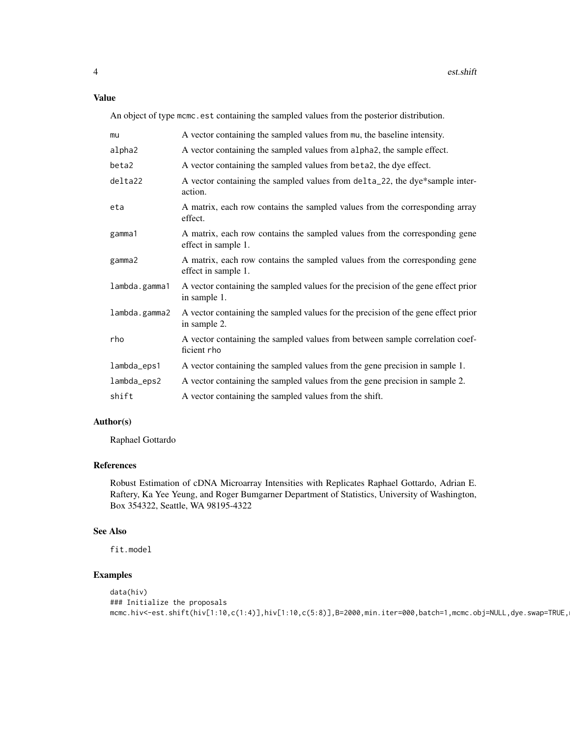#### Value

An object of type mcmc.est containing the sampled values from the posterior distribution.

| mu            | A vector containing the sampled values from mu, the baseline intensity.                           |
|---------------|---------------------------------------------------------------------------------------------------|
| alpha2        | A vector containing the sampled values from alpha2, the sample effect.                            |
| beta2         | A vector containing the sampled values from beta2, the dye effect.                                |
| delta22       | A vector containing the sampled values from delta_22, the dye*sample inter-<br>action.            |
| eta           | A matrix, each row contains the sampled values from the corresponding array<br>effect.            |
| gamma1        | A matrix, each row contains the sampled values from the corresponding gene<br>effect in sample 1. |
| gamma2        | A matrix, each row contains the sampled values from the corresponding gene<br>effect in sample 1. |
| lambda.gamma1 | A vector containing the sampled values for the precision of the gene effect prior<br>in sample 1. |
| lambda.gamma2 | A vector containing the sampled values for the precision of the gene effect prior<br>in sample 2. |
| rho           | A vector containing the sampled values from between sample correlation coef-<br>ficient rho       |
| lambda_eps1   | A vector containing the sampled values from the gene precision in sample 1.                       |
| lambda_eps2   | A vector containing the sampled values from the gene precision in sample 2.                       |
| shift         | A vector containing the sampled values from the shift.                                            |

#### Author(s)

Raphael Gottardo

#### References

Robust Estimation of cDNA Microarray Intensities with Replicates Raphael Gottardo, Adrian E. Raftery, Ka Yee Yeung, and Roger Bumgarner Department of Statistics, University of Washington, Box 354322, Seattle, WA 98195-4322

#### See Also

fit.model

```
data(hiv)
### Initialize the proposals
mcmc.hiv<-est.shift(hiv[1:10,c(1:4)],hiv[1:10,c(5:8)],B=2000,min.iter=000,batch=1,mcmc.obj=NULL,dye.swap=TRUE,
```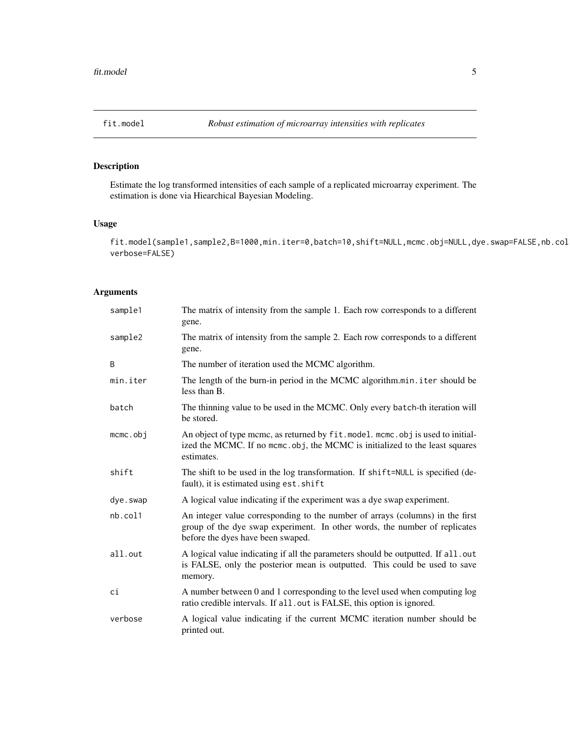<span id="page-4-0"></span>

Estimate the log transformed intensities of each sample of a replicated microarray experiment. The estimation is done via Hiearchical Bayesian Modeling.

#### Usage

fit.model(sample1,sample2,B=1000,min.iter=0,batch=10,shift=NULL,mcmc.obj=NULL,dye.swap=FALSE,nb.col verbose=FALSE)

#### Arguments

| sample1     | The matrix of intensity from the sample 1. Each row corresponds to a different<br>gene.                                                                                                          |
|-------------|--------------------------------------------------------------------------------------------------------------------------------------------------------------------------------------------------|
| sample2     | The matrix of intensity from the sample 2. Each row corresponds to a different<br>gene.                                                                                                          |
| B           | The number of iteration used the MCMC algorithm.                                                                                                                                                 |
| min.iter    | The length of the burn-in period in the MCMC algorithm.min.iter should be<br>less than B.                                                                                                        |
| batch       | The thinning value to be used in the MCMC. Only every batch-th iteration will<br>be stored.                                                                                                      |
| $m$ cmc.obj | An object of type mcmc, as returned by fit. model. mcmc. obj is used to initial-<br>ized the MCMC. If no mcmc.obj, the MCMC is initialized to the least squares<br>estimates.                    |
| shift       | The shift to be used in the log transformation. If shift=NULL is specified (de-<br>fault), it is estimated using est. shift                                                                      |
| dye.swap    | A logical value indicating if the experiment was a dye swap experiment.                                                                                                                          |
| nb.col1     | An integer value corresponding to the number of arrays (columns) in the first<br>group of the dye swap experiment. In other words, the number of replicates<br>before the dyes have been swaped. |
| all.out     | A logical value indicating if all the parameters should be outputted. If all.out<br>is FALSE, only the posterior mean is outputted. This could be used to save<br>memory.                        |
| ci          | A number between 0 and 1 corresponding to the level used when computing log<br>ratio credible intervals. If all. out is FALSE, this option is ignored.                                           |
| verbose     | A logical value indicating if the current MCMC iteration number should be<br>printed out.                                                                                                        |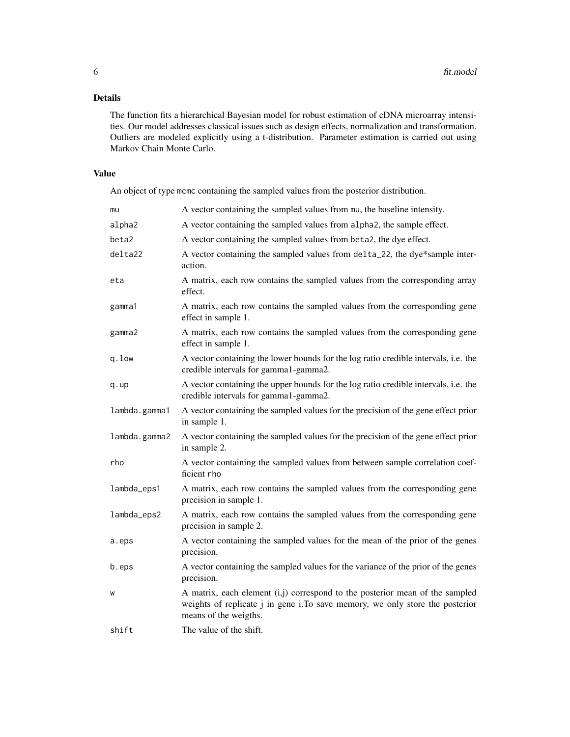#### Details

The function fits a hierarchical Bayesian model for robust estimation of cDNA microarray intensities. Our model addresses classical issues such as design effects, normalization and transformation. Outliers are modeled explicitly using a t-distribution. Parameter estimation is carried out using Markov Chain Monte Carlo.

#### Value

An object of type mcmc containing the sampled values from the posterior distribution.

| mu            | A vector containing the sampled values from mu, the baseline intensity.                                                                                                               |
|---------------|---------------------------------------------------------------------------------------------------------------------------------------------------------------------------------------|
| alpha2        | A vector containing the sampled values from alpha2, the sample effect.                                                                                                                |
| beta2         | A vector containing the sampled values from beta2, the dye effect.                                                                                                                    |
| delta22       | A vector containing the sampled values from delta_22, the dye*sample inter-<br>action.                                                                                                |
| eta           | A matrix, each row contains the sampled values from the corresponding array<br>effect.                                                                                                |
| gamma1        | A matrix, each row contains the sampled values from the corresponding gene<br>effect in sample 1.                                                                                     |
| gamma2        | A matrix, each row contains the sampled values from the corresponding gene<br>effect in sample 1.                                                                                     |
| q.low         | A vector containing the lower bounds for the log ratio credible intervals, i.e. the<br>credible intervals for gamma1-gamma2.                                                          |
| q.up          | A vector containing the upper bounds for the log ratio credible intervals, i.e. the<br>credible intervals for gamma1-gamma2.                                                          |
| lambda.gamma1 | A vector containing the sampled values for the precision of the gene effect prior<br>in sample 1.                                                                                     |
| lambda.gamma2 | A vector containing the sampled values for the precision of the gene effect prior<br>in sample 2.                                                                                     |
| rho           | A vector containing the sampled values from between sample correlation coef-<br>ficient rho                                                                                           |
| lambda_eps1   | A matrix, each row contains the sampled values from the corresponding gene<br>precision in sample 1.                                                                                  |
| lambda_eps2   | A matrix, each row contains the sampled values from the corresponding gene<br>precision in sample 2.                                                                                  |
| a.eps         | A vector containing the sampled values for the mean of the prior of the genes<br>precision.                                                                                           |
| b.eps         | A vector containing the sampled values for the variance of the prior of the genes<br>precision.                                                                                       |
| W             | A matrix, each element (i,j) correspond to the posterior mean of the sampled<br>weights of replicate j in gene i.To save memory, we only store the posterior<br>means of the weigths. |
| shift         | The value of the shift.                                                                                                                                                               |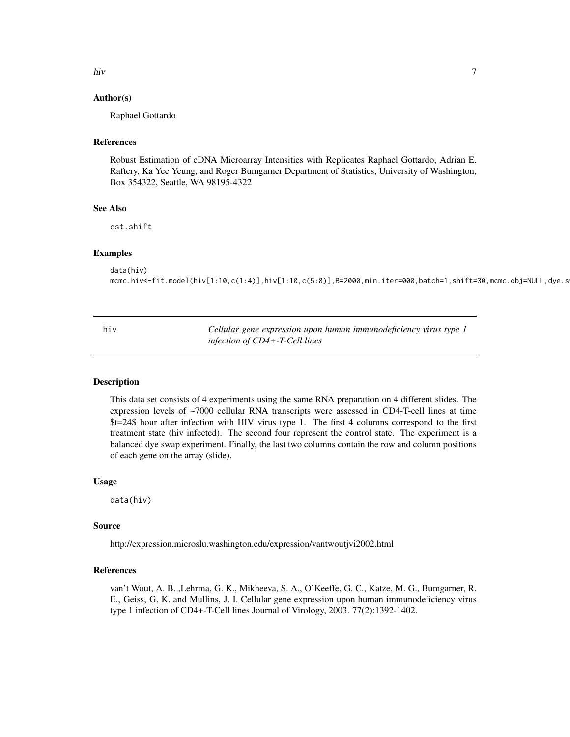<span id="page-6-0"></span>hiv and the state of the state of the state of the state of the state of the state of the state of the state of the state of the state of the state of the state of the state of the state of the state of the state of the st

#### Author(s)

Raphael Gottardo

#### References

Robust Estimation of cDNA Microarray Intensities with Replicates Raphael Gottardo, Adrian E. Raftery, Ka Yee Yeung, and Roger Bumgarner Department of Statistics, University of Washington, Box 354322, Seattle, WA 98195-4322

#### See Also

est.shift

#### Examples

```
data(hiv)
mcmc.hiv<-fit.model(hiv[1:10,c(1:4)],hiv[1:10,c(5:8)],B=2000,min.iter=000,batch=1,shift=30,mcmc.obj=NULL,dye.s
```
hiv *Cellular gene expression upon human immunodeficiency virus type 1 infection of CD4+-T-Cell lines*

#### Description

This data set consists of 4 experiments using the same RNA preparation on 4 different slides. The expression levels of ~7000 cellular RNA transcripts were assessed in CD4-T-cell lines at time \$t=24\$ hour after infection with HIV virus type 1. The first 4 columns correspond to the first treatment state (hiv infected). The second four represent the control state. The experiment is a balanced dye swap experiment. Finally, the last two columns contain the row and column positions of each gene on the array (slide).

#### Usage

data(hiv)

#### Source

http://expression.microslu.washington.edu/expression/vantwoutjvi2002.html

#### References

van't Wout, A. B. ,Lehrma, G. K., Mikheeva, S. A., O'Keeffe, G. C., Katze, M. G., Bumgarner, R. E., Geiss, G. K. and Mullins, J. I. Cellular gene expression upon human immunodeficiency virus type 1 infection of CD4+-T-Cell lines Journal of Virology, 2003. 77(2):1392-1402.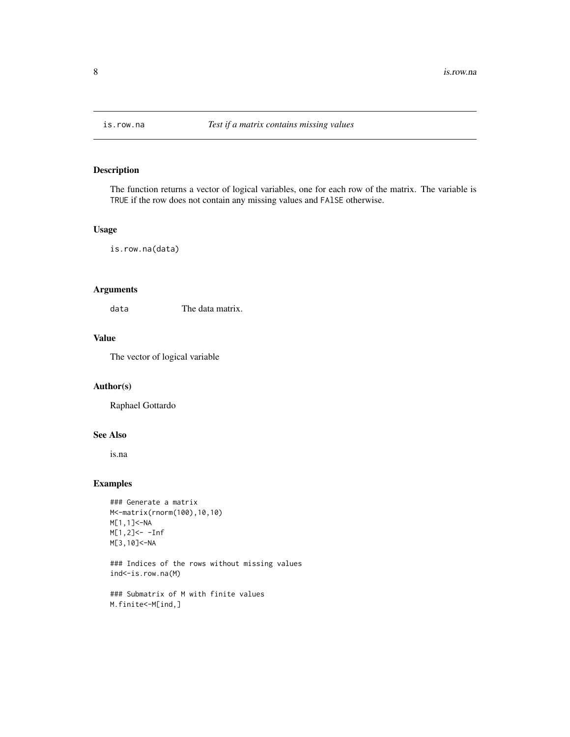<span id="page-7-0"></span>

The function returns a vector of logical variables, one for each row of the matrix. The variable is TRUE if the row does not contain any missing values and FAlSE otherwise.

#### Usage

is.row.na(data)

#### Arguments

data The data matrix.

#### Value

The vector of logical variable

#### Author(s)

Raphael Gottardo

#### See Also

is.na

#### Examples

```
### Generate a matrix
M<-matrix(rnorm(100),10,10)
M[1,1]<-NA
M[1,2]<- -Inf
M[3,10]<-NA
```
### Indices of the rows without missing values ind<-is.row.na(M)

```
### Submatrix of M with finite values
M.finite<-M[ind,]
```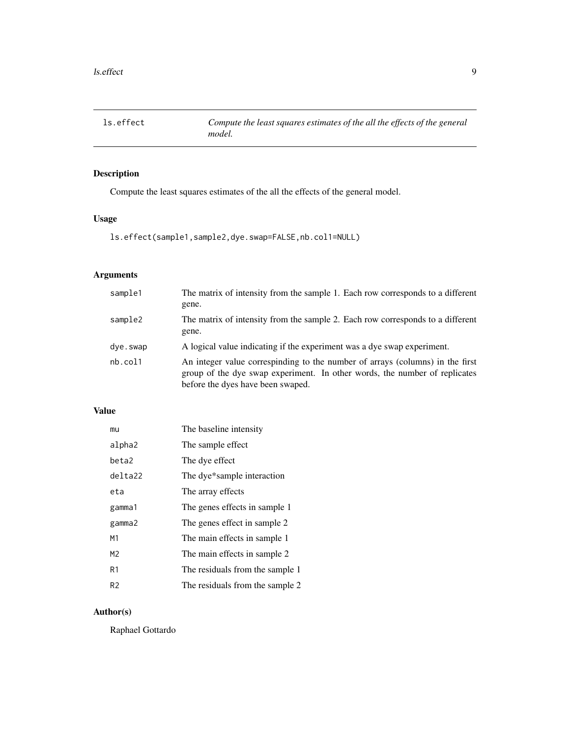<span id="page-8-0"></span>

Compute the least squares estimates of the all the effects of the general model.

### Usage

```
ls.effect(sample1,sample2,dye.swap=FALSE,nb.col1=NULL)
```
### Arguments

| sample1  | The matrix of intensity from the sample 1. Each row corresponds to a different<br>gene.                                                                                                          |
|----------|--------------------------------------------------------------------------------------------------------------------------------------------------------------------------------------------------|
| sample2  | The matrix of intensity from the sample 2. Each row corresponds to a different<br>gene.                                                                                                          |
| dye.swap | A logical value indicating if the experiment was a dye swap experiment.                                                                                                                          |
| nb.col1  | An integer value correspinding to the number of arrays (columns) in the first<br>group of the dye swap experiment. In other words, the number of replicates<br>before the dyes have been swaped. |

#### Value

| mu      | The baseline intensity          |
|---------|---------------------------------|
| alpha2  | The sample effect               |
| beta2   | The dye effect                  |
| delta22 | The dye*sample interaction      |
| eta     | The array effects               |
| gamma1  | The genes effects in sample 1   |
| gamma2  | The genes effect in sample 2    |
| M1      | The main effects in sample 1    |
| M2      | The main effects in sample 2    |
| R1      | The residuals from the sample 1 |
| R2      | The residuals from the sample 2 |

#### Author(s)

Raphael Gottardo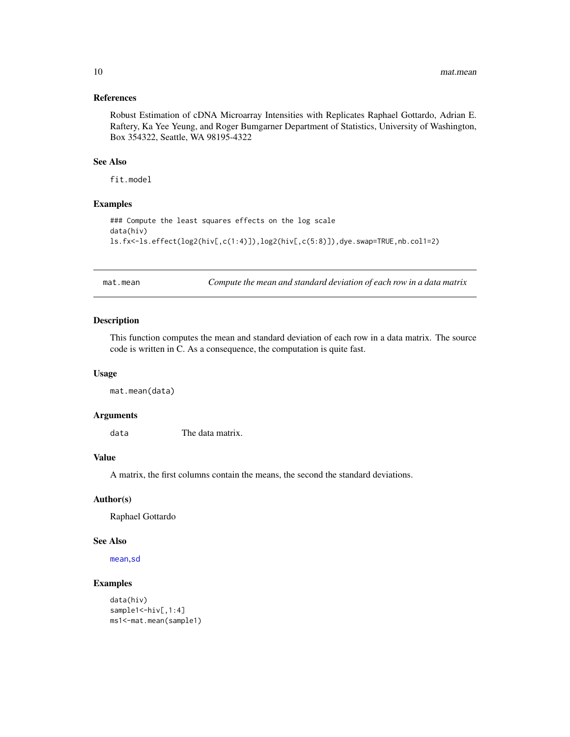#### <span id="page-9-0"></span>References

Robust Estimation of cDNA Microarray Intensities with Replicates Raphael Gottardo, Adrian E. Raftery, Ka Yee Yeung, and Roger Bumgarner Department of Statistics, University of Washington, Box 354322, Seattle, WA 98195-4322

#### See Also

fit.model

#### Examples

```
### Compute the least squares effects on the log scale
data(hiv)
ls.fx<-ls.effect(log2(hiv[,c(1:4)]),log2(hiv[,c(5:8)]),dye.swap=TRUE,nb.col1=2)
```
mat.mean *Compute the mean and standard deviation of each row in a data matrix*

#### Description

This function computes the mean and standard deviation of each row in a data matrix. The source code is written in C. As a consequence, the computation is quite fast.

### Usage

mat.mean(data)

#### Arguments

data The data matrix.

#### Value

A matrix, the first columns contain the means, the second the standard deviations.

#### Author(s)

Raphael Gottardo

#### See Also

[mean](#page-0-0),[sd](#page-0-0)

```
data(hiv)
sample1 <- hiv[, 1:4]
ms1<-mat.mean(sample1)
```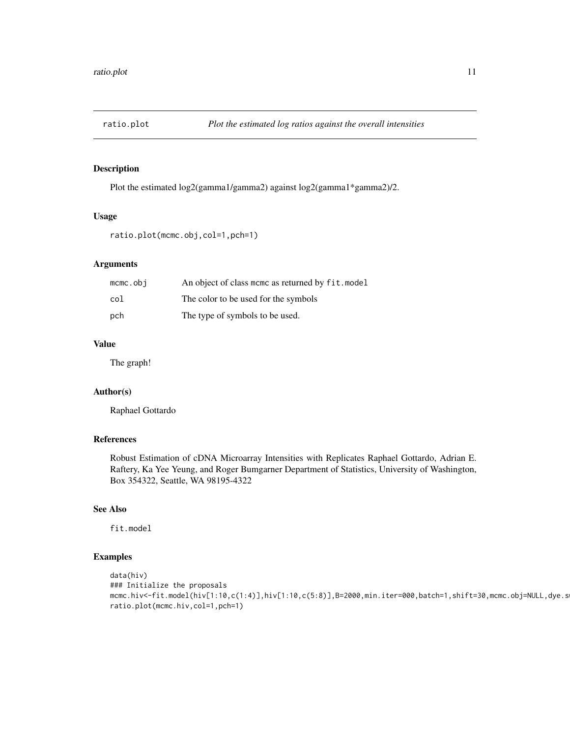<span id="page-10-0"></span>

Plot the estimated log2(gamma1/gamma2) against log2(gamma1\*gamma2)/2.

#### Usage

```
ratio.plot(mcmc.obj,col=1,pch=1)
```
#### Arguments

| mcmc.obi | An object of class mome as returned by fit. model |
|----------|---------------------------------------------------|
| col      | The color to be used for the symbols              |
| pch      | The type of symbols to be used.                   |

#### Value

The graph!

#### Author(s)

Raphael Gottardo

#### References

Robust Estimation of cDNA Microarray Intensities with Replicates Raphael Gottardo, Adrian E. Raftery, Ka Yee Yeung, and Roger Bumgarner Department of Statistics, University of Washington, Box 354322, Seattle, WA 98195-4322

#### See Also

fit.model

```
data(hiv)
### Initialize the proposals
mcmc.hiv<-fit.model(hiv[1:10,c(1:4)],hiv[1:10,c(5:8)],B=2000,min.iter=000,batch=1,shift=30,mcmc.obj=NULL,dye.s
ratio.plot(mcmc.hiv,col=1,pch=1)
```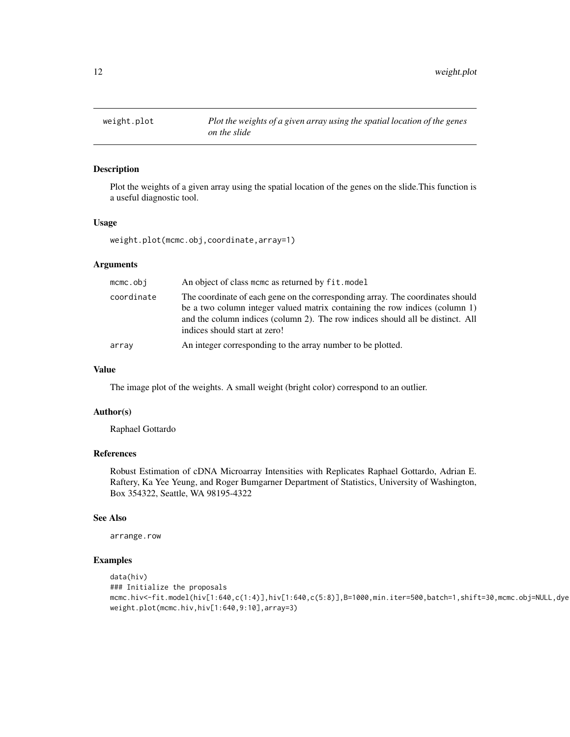<span id="page-11-0"></span>

Plot the weights of a given array using the spatial location of the genes on the slide.This function is a useful diagnostic tool.

#### Usage

weight.plot(mcmc.obj,coordinate,array=1)

#### Arguments

| $m$ c $m$ c.obj | An object of class mome as returned by fit. model                                                                                                                                                                                                                                |
|-----------------|----------------------------------------------------------------------------------------------------------------------------------------------------------------------------------------------------------------------------------------------------------------------------------|
| coordinate      | The coordinate of each gene on the corresponding array. The coordinates should<br>be a two column integer valued matrix containing the row indices (column 1)<br>and the column indices (column 2). The row indices should all be distinct. All<br>indices should start at zero! |
| array           | An integer corresponding to the array number to be plotted.                                                                                                                                                                                                                      |

#### Value

The image plot of the weights. A small weight (bright color) correspond to an outlier.

#### Author(s)

Raphael Gottardo

#### References

Robust Estimation of cDNA Microarray Intensities with Replicates Raphael Gottardo, Adrian E. Raftery, Ka Yee Yeung, and Roger Bumgarner Department of Statistics, University of Washington, Box 354322, Seattle, WA 98195-4322

#### See Also

arrange.row

```
data(hiv)
### Initialize the proposals
mcmc.hiv<-fit.model(hiv[1:640,c(1:4)],hiv[1:640,c(5:8)],B=1000,min.iter=500,batch=1,shift=30,mcmc.obj=NULL,dye
weight.plot(mcmc.hiv,hiv[1:640,9:10],array=3)
```